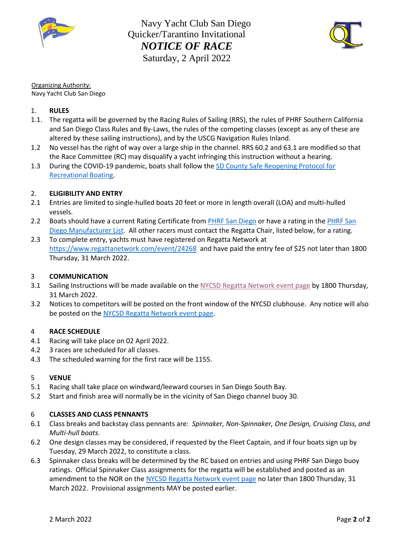



Organizing Authority:

Navy Yacht Club San Diego

# 1. **RULES**

- 1.1. The regatta will be governed by the Racing Rules of Sailing (RRS), the rules of PHRF Southern California and San Diego Class Rules and By-Laws, the rules of the competing classes (except as any of these are altered by these sailing instructions), and by the USCG Navigation Rules Inland.
- 1.2 No vessel has the right of way over a large ship in the channel. RRS 60.2 and 63.1 are modified so that the Race Committee (RC) may disqualify a yacht infringing this instruction without a hearing.
- 1.3 During the COVID-19 pandemic, boats shall follow the SD County Safe Reopening Protocol for [Recreational Boating.](https://www.sandiegocounty.gov/content/dam/sdc/hhsa/programs/phs/Epidemiology/covid19/SafeReopeningProtocolRecreationalBoatingNon-Commerical.pdf)

### 2. **ELIGIBILITY AND ENTRY**

- 2.1 Entries are limited to single-hulled boats 20 feet or more in length overall (LOA) and multi-hulled vessels.
- 2.2 Boats should have a current Rating Certificate from [PHRF San Diego](http://www.phrfsandiego.org/) or have a rating in the PHRF San [Diego Manufacturer List.](http://www.phrfsandiego.org/gridManufacturer.php) All other racers must contact the Regatta Chair, listed below, for a rating.
- 2.3 To complete entry, yachts must have registered on Regatta Network at <https://www.regattanetwork.com/event/24268>and have paid the entry fee of \$25 not later than 1800 Thursday, 31 March 2022.

### 3 **COMMUNICATION**

- 3.1 Sailing Instructions will be made available on the [NYCSD Regatta Network event page](https://www.regattanetwork.com/event/24268) by 1800 Thursday, 31 March 2022.
- 3.2 Notices to competitors will be posted on the front window of the NYCSD clubhouse. Any notice will also be posted on th[e NYCSD Regatta Network event page.](https://www.regattanetwork.com/event/24268)

### 4 **RACE SCHEDULE**

- 4.1 Racing will take place on 02 April 2022.
- 4.2 3 races are scheduled for all classes.
- 4.3 The scheduled warning for the first race will be 1155.

### 5 **VENUE**

- 5.1 Racing shall take place on windward/leeward courses in San Diego South Bay.
- 5.2 Start and finish area will normally be in the vicinity of San Diego channel buoy 30.

### 6 **CLASSES AND CLASS PENNANTS**

- 6.1 Class breaks and backstay class pennants are: *Spinnaker, Non-Spinnaker, One Design, Cruising Class, and Multi-hull boats.*
- 6.2 One design classes may be considered, if requested by the Fleet Captain, and if four boats sign up by Tuesday, 29 March 2022, to constitute a class.
- 6.3 Spinnaker class breaks will be determined by the RC based on entries and using PHRF San Diego buoy ratings. Official Spinnaker Class assignments for the regatta will be established and posted as an amendment to the NOR on the [NYCSD Regatta Network event page](https://www.regattanetwork.com/event/24268) no later than 1800 Thursday, 31 March 2022. Provisional assignments MAY be posted earlier.